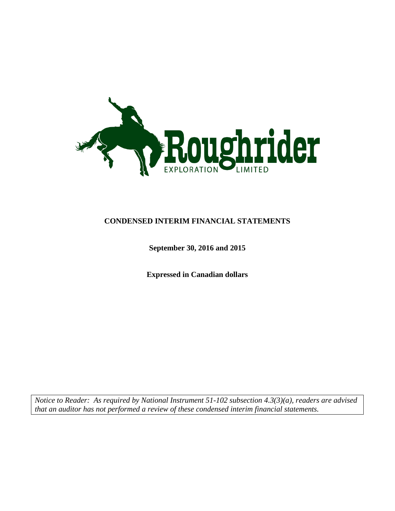

### **CONDENSED INTERIM FINANCIAL STATEMENTS**

### **September 30, 2016 and 2015**

**Expressed in Canadian dollars**

*Notice to Reader: As required by National Instrument 51-102 subsection 4.3(3)(a), readers are advised that an auditor has not performed a review of these condensed interim financial statements.*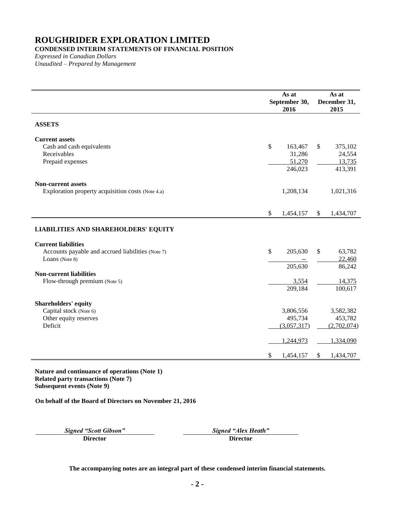### **CONDENSED INTERIM STATEMENTS OF FINANCIAL POSITION**

*Expressed in Canadian Dollars Unaudited – Prepared by Management*

|                                                                                                   | As at<br>September 30,<br>2016                   |              | As at<br>December 31,<br>2015                    |
|---------------------------------------------------------------------------------------------------|--------------------------------------------------|--------------|--------------------------------------------------|
| <b>ASSETS</b>                                                                                     |                                                  |              |                                                  |
| <b>Current assets</b><br>Cash and cash equivalents<br>Receivables<br>Prepaid expenses             | \$<br>163,467<br>31,286<br>51,270<br>246,023     | $\mathbb{S}$ | 375,102<br>24,554<br>13,735<br>413,391           |
| <b>Non-current assets</b><br>Exploration property acquisition costs (Note 4.a)                    | 1,208,134                                        |              | 1,021,316                                        |
|                                                                                                   | \$<br>1,454,157                                  | $\mathbb{S}$ | 1,434,707                                        |
| <b>LIABILITIES AND SHAREHOLDERS' EQUITY</b>                                                       |                                                  |              |                                                  |
| <b>Current liabilities</b><br>Accounts payable and accrued liabilities (Note 7)<br>Loans (Note 8) | \$<br>205,630                                    | \$           | 63,782<br>22,460                                 |
| <b>Non-current liabilities</b>                                                                    | 205,630                                          |              | 86,242                                           |
| Flow-through premium (Note 5)                                                                     | 3,554<br>209,184                                 |              | 14,375<br>100,617                                |
| <b>Shareholders' equity</b><br>Capital stock (Note 6)<br>Other equity reserves<br>Deficit         | 3,806,556<br>495,734<br>(3,057,317)<br>1,244,973 |              | 3,582,382<br>453,782<br>(2,702,074)<br>1,334,090 |
|                                                                                                   | \$<br>1,454,157                                  | \$.          | 1,434,707                                        |

**Nature and continuance of operations (Note 1) Related party transactions (Note [7\)](#page-12-0) Subsequent events (Note [9\)](#page-12-2)**

**On behalf of the Board of Directors on November 21, 2016**

*Signed "Scott Gibson" Signed "Alex Heath"* **Director Director**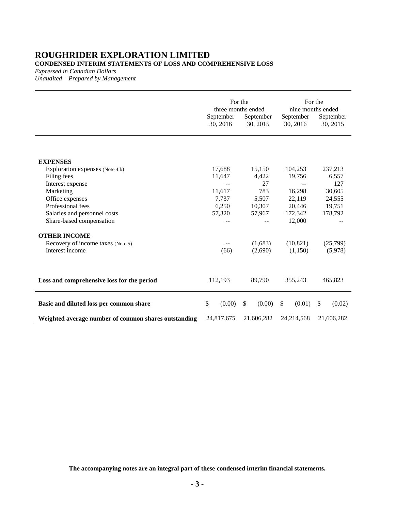### **ROUGHRIDER EXPLORATION LIMITED CONDENSED INTERIM STATEMENTS OF LOSS AND COMPREHENSIVE LOSS**

*Expressed in Canadian Dollars*

*Unaudited – Prepared by Management*

|                                                      | For the<br>three months ended<br>September<br>September |                        | For the<br>nine months ended<br>September<br>September |                         |
|------------------------------------------------------|---------------------------------------------------------|------------------------|--------------------------------------------------------|-------------------------|
|                                                      | 30, 2016                                                | 30, 2015               | 30, 2016                                               | 30, 2015                |
|                                                      |                                                         |                        |                                                        |                         |
| <b>EXPENSES</b>                                      |                                                         |                        |                                                        |                         |
| Exploration expenses (Note 4.b)                      | 17,688                                                  | 15,150                 | 104,253                                                | 237,213                 |
| Filing fees                                          | 11,647                                                  | 4,422<br>27            | 19,756                                                 | 6,557<br>127            |
| Interest expense<br>Marketing                        | 11,617                                                  | 783                    | 16,298                                                 | 30,605                  |
|                                                      | 7,737                                                   | 5,507                  | 22,119                                                 | 24,555                  |
| Office expenses<br>Professional fees                 | 6,250                                                   |                        | 20,446                                                 | 19,751                  |
| Salaries and personnel costs                         | 57,320                                                  | 10,307<br>57,967       | 172,342                                                | 178,792                 |
| Share-based compensation                             |                                                         |                        | 12,000                                                 |                         |
| <b>OTHER INCOME</b>                                  |                                                         |                        |                                                        |                         |
| Recovery of income taxes (Note 5)                    |                                                         | (1,683)                | (10, 821)                                              | (25,799)                |
| Interest income                                      | (66)                                                    | (2,690)                | (1,150)                                                | (5,978)                 |
| Loss and comprehensive loss for the period           | 112,193                                                 | 89,790                 | 355,243                                                | 465,823                 |
| Basic and diluted loss per common share              | \$<br>(0.00)                                            | $\mathbb{S}$<br>(0.00) | \$<br>(0.01)                                           | <sup>\$</sup><br>(0.02) |
| Weighted average number of common shares outstanding | 24,817,675                                              | 21,606,282             | 24, 214, 568                                           | 21,606,282              |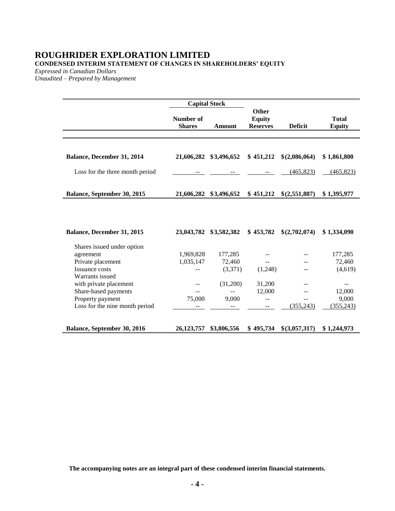### **ROUGHRIDER EXPLORATION LIMITED CONDENSED INTERIM STATEMENT OF CHANGES IN SHAREHOLDERS' EQUITY**

*Expressed in Canadian Dollars*

*Unaudited – Prepared by Management*

|                                 | <b>Capital Stock</b>       |               |                                           |                |                               |
|---------------------------------|----------------------------|---------------|-------------------------------------------|----------------|-------------------------------|
|                                 | Number of<br><b>Shares</b> | <b>Amount</b> | Other<br><b>Equity</b><br><b>Reserves</b> | <b>Deficit</b> | <b>Total</b><br><b>Equity</b> |
|                                 |                            |               |                                           |                |                               |
|                                 |                            |               |                                           |                |                               |
| Balance, December 31, 2014      | 21,606,282                 | \$3,496,652   | \$451,212                                 | \$(2,086,064)  | \$1,861,800                   |
| Loss for the three month period |                            |               |                                           | (465, 823)     | (465, 823)                    |
| Balance, September 30, 2015     | 21,606,282                 | \$3,496,652   | \$451,212                                 | \$(2,551,887)  | \$1,395,977                   |
| Balance, December 31, 2015      | 23,043,782                 | \$3,582,382   | \$453,782                                 | \$(2,702,074)  | \$1,334,090                   |
| Shares issued under option      |                            |               |                                           |                |                               |
| agreement                       | 1,969,828                  | 177,285       |                                           |                | 177,285                       |
| Private placement               | 1,035,147                  | 72,460        |                                           |                | 72,460                        |
| Issuance costs                  |                            | (3,371)       | (1,248)                                   | --             | (4,619)                       |
| Warrants issued                 |                            |               |                                           |                |                               |
| with private placement          |                            | (31,200)      | 31,200                                    | --             |                               |
| Share-based payments            |                            |               | 12,000                                    |                | 12,000                        |
| Property payment                | 75,000                     | 9,000         | $-$                                       |                | 9,000                         |
| Loss for the nine month period  |                            |               |                                           | (355, 243)     | (355, 243)                    |
| Balance, September 30, 2016     | 26,123,757                 | \$3,806,556   | \$495,734                                 | \$(3,057,317)  | \$1,244,973                   |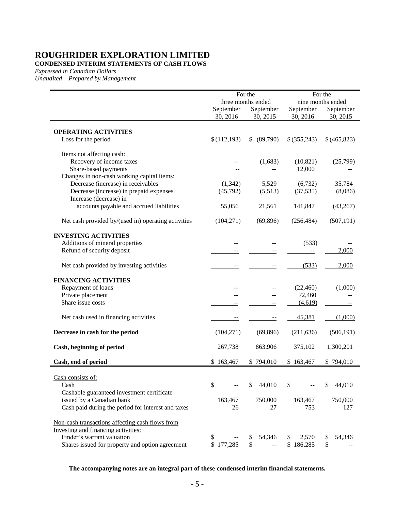**CONDENSED INTERIM STATEMENTS OF CASH FLOWS**

*Expressed in Canadian Dollars*

*Unaudited – Prepared by Management*

|                                                     |             | For the            |             | For the           |  |
|-----------------------------------------------------|-------------|--------------------|-------------|-------------------|--|
|                                                     |             | three months ended |             | nine months ended |  |
|                                                     | September   | September          | September   | September         |  |
|                                                     | 30, 2016    | 30, 2015           | 30, 2016    | 30, 2015          |  |
| <b>OPERATING ACTIVITIES</b>                         |             |                    |             |                   |  |
| Loss for the period                                 | \$(112,193) | (89,790)<br>\$     | \$(355,243) | \$(465,823)       |  |
| Items not affecting cash:                           |             |                    |             |                   |  |
| Recovery of income taxes                            |             | (1,683)            | (10, 821)   | (25,799)          |  |
| Share-based payments                                |             |                    | 12,000      |                   |  |
| Changes in non-cash working capital items:          |             |                    |             |                   |  |
| Decrease (increase) in receivables                  | (1, 342)    | 5,529              | (6, 732)    | 35,784            |  |
| Decrease (increase) in prepaid expenses             | (45,792)    | (5,513)            | (37, 535)   | (8,086)           |  |
| Increase (decrease) in                              |             |                    |             |                   |  |
| accounts payable and accrued liabilities            | 55,056      | 21,561             | 141,847     | (43,267)          |  |
| Net cash provided by/(used in) operating activities | (104,271)   | (69,896)           | (256, 484)  | (507, 191)        |  |
| <b>INVESTING ACTIVITIES</b>                         |             |                    |             |                   |  |
| Additions of mineral properties                     |             |                    | (533)       |                   |  |
| Refund of security deposit                          |             |                    |             | 2,000             |  |
| Net cash provided by investing activities           |             |                    | (533)       | 2,000             |  |
| <b>FINANCING ACTIVITIES</b>                         |             |                    |             |                   |  |
| Repayment of loans                                  |             |                    | (22, 460)   | (1,000)           |  |
| Private placement                                   |             |                    | 72,460      |                   |  |
| Share issue costs                                   |             |                    | (4,619)     |                   |  |
| Net cash used in financing activities               |             |                    | 45,381      | (1,000)           |  |
| Decrease in cash for the period                     | (104, 271)  | (69, 896)          | (211, 636)  | (506, 191)        |  |
| Cash, beginning of period                           | 267,738     | 863,906            | 375,102     | 1,300,201         |  |
| Cash, end of period                                 | \$163,467   | \$794,010          | \$163,467   | \$794,010         |  |
| Cash consists of:                                   |             |                    |             |                   |  |
| Cash                                                | \$          | 44,010<br>\$       | \$          | \$<br>44,010      |  |
| Cashable guaranteed investment certificate          |             |                    |             |                   |  |
| issued by a Canadian bank                           | 163,467     | 750,000            | 163,467     | 750,000           |  |
| Cash paid during the period for interest and taxes  | 26          | 27                 | 753         | 127               |  |
| Non-cash transactions affecting cash flows from     |             |                    |             |                   |  |
| Investing and financing activities:                 |             |                    |             |                   |  |
| Finder's warrant valuation                          | \$          | 54,346<br>\$       | 2,570<br>\$ | \$<br>54,346      |  |
| Shares issued for property and option agreement     | \$177,285   | \$                 | \$186,285   | \$                |  |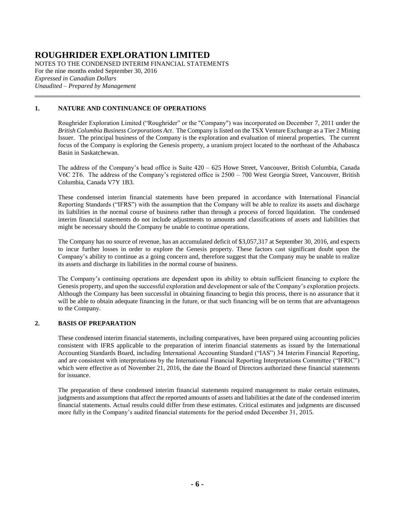NOTES TO THE CONDENSED INTERIM FINANCIAL STATEMENTS For the nine months ended September 30, 2016 *Expressed in Canadian Dollars Unaudited – Prepared by Management*

#### **1. NATURE AND CONTINUANCE OF OPERATIONS**

Roughrider Exploration Limited ("Roughrider" or the "Company") was incorporated on December 7, 2011 under the *British Columbia Business Corporations Act*. The Company is listed on the TSX Venture Exchange as a Tier 2 Mining Issuer. The principal business of the Company is the exploration and evaluation of mineral properties. The current focus of the Company is exploring the Genesis property, a uranium project located to the northeast of the Athabasca Basin in Saskatchewan.

The address of the Company's head office is Suite 420 – 625 Howe Street, Vancouver, British Columbia, Canada V6C 2T6. The address of the Company's registered office is 2500 – 700 West Georgia Street, Vancouver, British Columbia, Canada V7Y 1B3.

These condensed interim financial statements have been prepared in accordance with International Financial Reporting Standards ("IFRS") with the assumption that the Company will be able to realize its assets and discharge its liabilities in the normal course of business rather than through a process of forced liquidation. The condensed interim financial statements do not include adjustments to amounts and classifications of assets and liabilities that might be necessary should the Company be unable to continue operations.

The Company has no source of revenue, has an accumulated deficit of \$3,057,317 at September 30, 2016, and expects to incur further losses in order to explore the Genesis property. These factors cast significant doubt upon the Company's ability to continue as a going concern and, therefore suggest that the Company may be unable to realize its assets and discharge its liabilities in the normal course of business.

The Company's continuing operations are dependent upon its ability to obtain sufficient financing to explore the Genesis property, and upon the successful exploration and development or sale of the Company's exploration projects. Although the Company has been successful in obtaining financing to begin this process, there is no assurance that it will be able to obtain adequate financing in the future, or that such financing will be on terms that are advantageous to the Company.

#### **2. BASIS OF PREPARATION**

These condensed interim financial statements, including comparatives, have been prepared using accounting policies consistent with IFRS applicable to the preparation of interim financial statements as issued by the International Accounting Standards Board, including International Accounting Standard ("IAS") 34 Interim Financial Reporting, and are consistent with interpretations by the International Financial Reporting Interpretations Committee ("IFRIC") which were effective as of November 21, 2016, the date the Board of Directors authorized these financial statements for issuance.

The preparation of these condensed interim financial statements required management to make certain estimates, judgments and assumptions that affect the reported amounts of assets and liabilities at the date of the condensed interim financial statements. Actual results could differ from these estimates. Critical estimates and judgments are discussed more fully in the Company's audited financial statements for the period ended December 31, 2015.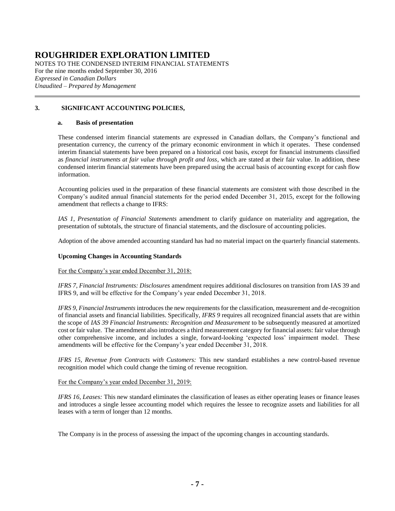NOTES TO THE CONDENSED INTERIM FINANCIAL STATEMENTS For the nine months ended September 30, 2016 *Expressed in Canadian Dollars Unaudited – Prepared by Management*

#### **3. SIGNIFICANT ACCOUNTING POLICIES,**

#### **a. Basis of presentation**

These condensed interim financial statements are expressed in Canadian dollars, the Company's functional and presentation currency, the currency of the primary economic environment in which it operates. These condensed interim financial statements have been prepared on a historical cost basis, except for financial instruments classified as *financial instruments at fair value through profit and loss*, which are stated at their fair value. In addition, these condensed interim financial statements have been prepared using the accrual basis of accounting except for cash flow information.

Accounting policies used in the preparation of these financial statements are consistent with those described in the Company's audited annual financial statements for the period ended December 31, 2015, except for the following amendment that reflects a change to IFRS:

*IAS 1*, *Presentation of Financial Statements* amendment to clarify guidance on materiality and aggregation, the presentation of subtotals, the structure of financial statements, and the disclosure of accounting policies.

Adoption of the above amended accounting standard has had no material impact on the quarterly financial statements.

#### **Upcoming Changes in Accounting Standards**

For the Company's year ended December 31, 2018:

*IFRS 7, Financial Instruments: Disclosures* amendment requires additional disclosures on transition from IAS 39 and IFRS 9, and will be effective for the Company's year ended December 31, 2018.

*IFRS 9, Financial Instruments* introduces the new requirements for the classification, measurement and de-recognition of financial assets and financial liabilities. Specifically, *IFRS 9* requires all recognized financial assets that are within the scope of *IAS 39 Financial Instruments: Recognition and Measurement* to be subsequently measured at amortized cost or fair value. The amendment also introduces a third measurement category for financial assets: fair value through other comprehensive income, and includes a single, forward-looking 'expected loss' impairment model. These amendments will be effective for the Company's year ended December 31, 2018.

*IFRS 15, Revenue from Contracts with Customers:* This new standard establishes a new control-based revenue recognition model which could change the timing of revenue recognition.

For the Company's year ended December 31, 2019:

*IFRS 16, Leases:* This new standard eliminates the classification of leases as either operating leases or finance leases and introduces a single lessee accounting model which requires the lessee to recognize assets and liabilities for all leases with a term of longer than 12 months.

The Company is in the process of assessing the impact of the upcoming changes in accounting standards.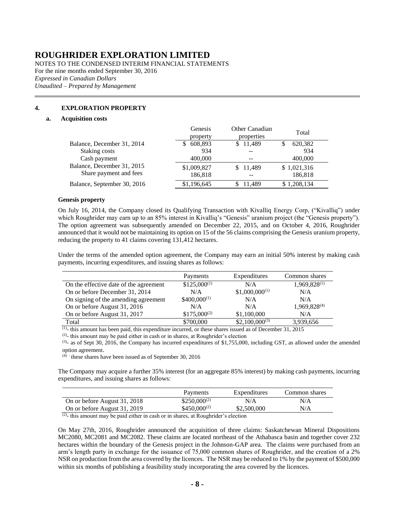NOTES TO THE CONDENSED INTERIM FINANCIAL STATEMENTS For the nine months ended September 30, 2016 *Expressed in Canadian Dollars Unaudited – Prepared by Management*

#### **4. EXPLORATION PROPERTY**

#### <span id="page-7-1"></span>**a. Acquisition costs**

<span id="page-7-0"></span>

|                             | Genesis<br>property | Other Canadian<br>properties | Total        |
|-----------------------------|---------------------|------------------------------|--------------|
| Balance, December 31, 2014  | 608,893             | \$11,489                     | 620,382<br>S |
| Staking costs               | 934                 | $-$                          | 934          |
| Cash payment                | 400,000             | --                           | 400,000      |
| Balance, December 31, 2015  | \$1,009,827         | \$ 11,489                    | \$1,021,316  |
| Share payment and fees      | 186,818             | --                           | 186,818      |
| Balance, September 30, 2016 | \$1,196,645         | 11.489                       | \$1,208,134  |

#### **Genesis property**

On July 16, 2014, the Company closed its Qualifying Transaction with Kivalliq Energy Corp, ("Kivalliq") under which Roughrider may earn up to an 85% interest in Kivalliq's "Genesis" uranium project (the "Genesis property"). The option agreement was subsequently amended on December 22, 2015, and on October 4, 2016, Roughrider announced that it would not be maintaining its option on 15 of the 56 claims comprising the Genesis uranium property, reducing the property to 41 claims covering 131,412 hectares.

Under the terms of the amended option agreement, the Company may earn an initial 50% interest by making cash payments, incurring expenditures, and issuing shares as follows:

|                                        | Payments         | Expenditures       | Common shares            |
|----------------------------------------|------------------|--------------------|--------------------------|
| On the effective date of the agreement | $$125,000^{(1)}$ | N/A                | $1,969,828^{(1)}$        |
| On or before December 31, 2014         | N/A              | $$1,000,000^{(1)}$ | N/A                      |
| On signing of the amending agreement   | $$400,000^{(1)}$ | N/A                | N/A                      |
| On or before August 31, 2016           | N/A              | N/A                | 1,969,828 <sup>(4)</sup> |
| On or before August 31, 2017           | $$175,000^{(2)}$ | \$1,100,000        | N/A                      |
| Total                                  | \$700,000        | $$2,100,000^{(3)}$ | 3,939,656                |

 $(1)$ - this amount has been paid, this expenditure incurred, or these shares issued as of December 31, 2015

 $(2)$ - this amount may be paid either in cash or in shares, at Roughrider's election

 $(3)$ - as of Sept 30, 2016, the Company has incurred expenditures of \$1,755,000, including GST, as allowed under the amended option agreement.

 $(4)$  these shares have been issued as of September 30, 2016

The Company may acquire a further 35% interest (for an aggregate 85% interest) by making cash payments, incurring expenditures, and issuing shares as follows:

|                              | Payments          | Expenditures | Common shares |
|------------------------------|-------------------|--------------|---------------|
| On or before August 31, 2018 | $$250,000^{(2)}$  | N/A          | N/A           |
| On or before August 31, 2019 | $$450,000^{(2)}$$ | \$2,500,000  | N/A           |

 $(2)$ - this amount may be paid either in cash or in shares, at Roughrider's election

On May 27th, 2016, Roughrider announced the acquisition of three claims: Saskatchewan Mineral Dispositions MC2080, MC2081 and MC2082. These claims are located northeast of the Athabasca basin and together cover 232 hectares within the boundary of the Genesis project in the Johnson-GAP area. The claims were purchased from an arm's length party in exchange for the issuance of 75,000 common shares of Roughrider, and the creation of a 2% NSR on production from the area covered by the licences. The NSR may be reduced to 1% by the payment of \$500,000 within six months of publishing a feasibility study incorporating the area covered by the licences.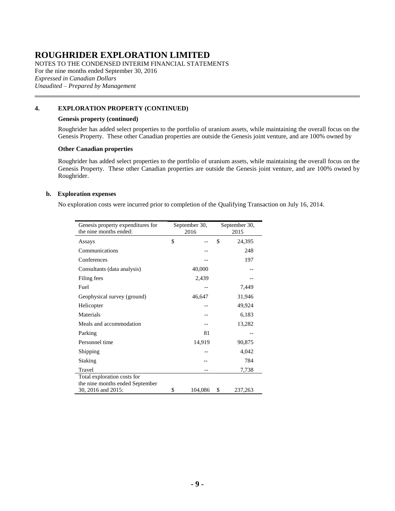NOTES TO THE CONDENSED INTERIM FINANCIAL STATEMENTS For the nine months ended September 30, 2016 *Expressed in Canadian Dollars Unaudited – Prepared by Management*

#### **[4.](#page-7-1) EXPLORATION PROPERTY (CONTINUED)**

#### **Genesis property (continued)**

Roughrider has added select properties to the portfolio of uranium assets, while maintaining the overall focus on the Genesis Property. These other Canadian properties are outside the Genesis joint venture, and are 100% owned by

#### **Other Canadian properties**

Roughrider has added select properties to the portfolio of uranium assets, while maintaining the overall focus on the Genesis Property. These other Canadian properties are outside the Genesis joint venture, and are 100% owned by Roughrider.

#### <span id="page-8-0"></span>**b. Exploration expenses**

No exploration costs were incurred prior to completion of the Qualifying Transaction on July 16, 2014.

| Genesis property expenditures for | September 30, | September 30, |
|-----------------------------------|---------------|---------------|
| the nine months ended:            | 2016          | 2015          |
| Assays                            | \$            | \$<br>24,395  |
| Communications                    |               | 248           |
| Conferences                       |               | 197           |
| Consultants (data analysis)       | 40,000        |               |
| Filing fees                       | 2,439         |               |
| Fuel                              |               | 7,449         |
| Geophysical survey (ground)       | 46,647        | 31,946        |
| Helicopter                        |               | 49,924        |
| Materials                         |               | 6,183         |
| Meals and accommodation           |               | 13,282        |
| Parking                           | 81            |               |
| Personnel time                    | 14,919        | 90,875        |
| Shipping                          |               | 4,042         |
| Staking                           |               | 784           |
| Travel                            |               | 7,738         |
| Total exploration costs for       |               |               |
| the nine months ended September   |               |               |
| 30, 2016 and 2015:                | \$<br>104,086 | \$<br>237,263 |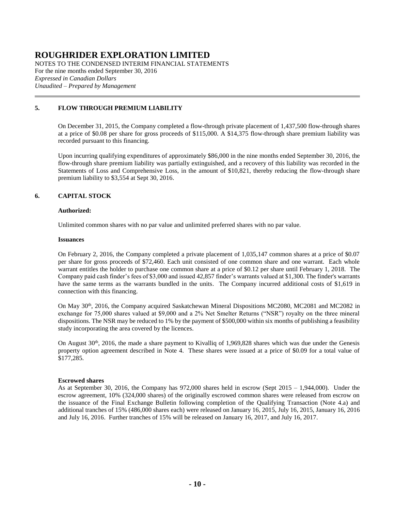NOTES TO THE CONDENSED INTERIM FINANCIAL STATEMENTS For the nine months ended September 30, 2016 *Expressed in Canadian Dollars Unaudited – Prepared by Management*

#### <span id="page-9-0"></span>**5. FLOW THROUGH PREMIUM LIABILITY**

On December 31, 2015, the Company completed a flow-through private placement of 1,437,500 flow-through shares at a price of \$0.08 per share for gross proceeds of \$115,000. A \$14,375 flow-through share premium liability was recorded pursuant to this financing.

Upon incurring qualifying expenditures of approximately \$86,000 in the nine months ended September 30, 2016, the flow-through share premium liability was partially extinguished, and a recovery of this liability was recorded in the Statements of Loss and Comprehensive Loss, in the amount of \$10,821, thereby reducing the flow-through share premium liability to \$3,554 at Sept 30, 2016.

#### <span id="page-9-1"></span>**6. CAPITAL STOCK**

#### **Authorized:**

Unlimited common shares with no par value and unlimited preferred shares with no par value.

#### **Issuances**

On February 2, 2016, the Company completed a private placement of 1,035,147 common shares at a price of \$0.07 per share for gross proceeds of \$72,460. Each unit consisted of one common share and one warrant. Each whole warrant entitles the holder to purchase one common share at a price of \$0.12 per share until February 1, 2018. The Company paid cash finder's fees of \$3,000 and issued 42,857 finder's warrants valued at \$1,300. The finder's warrants have the same terms as the warrants bundled in the units. The Company incurred additional costs of \$1,619 in connection with this financing.

On May 30<sup>th</sup>, 2016, the Company acquired Saskatchewan Mineral Dispositions MC2080, MC2081 and MC2082 in exchange for 75,000 shares valued at \$9,000 and a 2% Net Smelter Returns ("NSR") royalty on the three mineral dispositions. The NSR may be reduced to 1% by the payment of \$500,000 within six months of publishing a feasibility study incorporating the area covered by the licences.

On August 30<sup>th</sup>, 2016, the made a share payment to Kivalliq of 1,969,828 shares which was due under the Genesis property option agreement described in Note 4. These shares were issued at a price of \$0.09 for a total value of \$177,285.

#### **Escrowed shares**

As at September 30, 2016, the Company has 972,000 shares held in escrow (Sept 2015 – 1,944,000). Under the escrow agreement, 10% (324,000 shares) of the originally escrowed common shares were released from escrow on the issuance of the Final Exchange Bulletin following completion of the Qualifying Transaction (Note [4.a\)](#page-7-0) and additional tranches of 15% (486,000 shares each) were released on January 16, 2015, July 16, 2015, January 16, 2016 and July 16, 2016. Further tranches of 15% will be released on January 16, 2017, and July 16, 2017.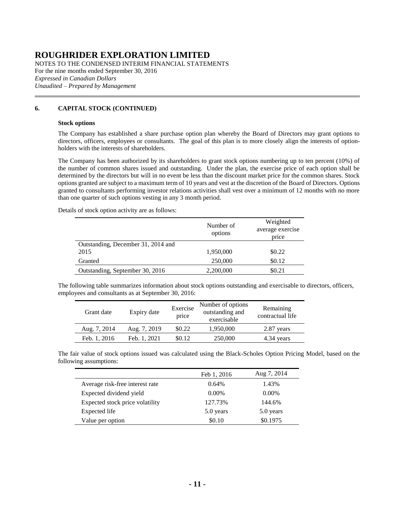NOTES TO THE CONDENSED INTERIM FINANCIAL STATEMENTS For the nine months ended September 30, 2016 *Expressed in Canadian Dollars Unaudited – Prepared by Management*

#### **[6.](#page-9-1) CAPITAL STOCK (CONTINUED)**

#### **Stock options**

The Company has established a share purchase option plan whereby the Board of Directors may grant options to directors, officers, employees or consultants. The goal of this plan is to more closely align the interests of optionholders with the interests of shareholders.

The Company has been authorized by its shareholders to grant stock options numbering up to ten percent (10%) of the number of common shares issued and outstanding. Under the plan, the exercise price of each option shall be determined by the directors but will in no event be less than the discount market price for the common shares. Stock options granted are subject to a maximum term of 10 years and vest at the discretion of the Board of Directors. Options granted to consultants performing investor relations activities shall vest over a minimum of 12 months with no more than one quarter of such options vesting in any 3 month period.

Details of stock option activity are as follows:

|                                    | Number of<br>options | Weighted<br>average exercise<br>price |
|------------------------------------|----------------------|---------------------------------------|
| Outstanding, December 31, 2014 and |                      |                                       |
| 2015                               | 1,950,000            | \$0.22                                |
| Granted                            | 250,000              | \$0.12                                |
| Outstanding, September 30, 2016    | 2,200,000            | \$0.21                                |

The following table summarizes information about stock options outstanding and exercisable to directors, officers, employees and consultants as at September 30, 2016:

| Grant date   | Expiry date  | Exercise<br>price | Number of options<br>outstanding and<br>exercisable | Remaining<br>contractual life |
|--------------|--------------|-------------------|-----------------------------------------------------|-------------------------------|
| Aug. 7, 2014 | Aug. 7, 2019 | \$0.22            | 1,950,000                                           | 2.87 years                    |
| Feb. 1, 2016 | Feb. 1, 2021 | \$0.12            | 250,000                                             | 4.34 years                    |

The fair value of stock options issued was calculated using the Black-Scholes Option Pricing Model, based on the following assumptions:

|                                 | Feb 1, 2016 | Aug 7, 2014 |
|---------------------------------|-------------|-------------|
| Average risk-free interest rate | 0.64%       | 1.43%       |
| Expected dividend yield         | $0.00\%$    | $0.00\%$    |
| Expected stock price volatility | 127.73%     | 144.6%      |
| Expected life                   | 5.0 years   | 5.0 years   |
| Value per option                | \$0.10      | \$0.1975    |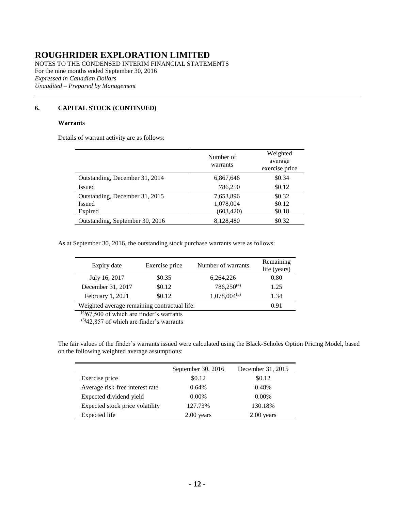NOTES TO THE CONDENSED INTERIM FINANCIAL STATEMENTS For the nine months ended September 30, 2016 *Expressed in Canadian Dollars Unaudited – Prepared by Management*

### **[6.](#page-9-1) CAPITAL STOCK (CONTINUED)**

#### **Warrants**

Details of warrant activity are as follows:

|                                 | Number of<br>warrants | Weighted<br>average<br>exercise price |
|---------------------------------|-----------------------|---------------------------------------|
| Outstanding, December 31, 2014  | 6,867,646             | \$0.34                                |
| Issued                          | 786,250               | \$0.12                                |
| Outstanding, December 31, 2015  | 7,653,896             | \$0.32                                |
| Issued                          | 1,078,004             | \$0.12                                |
| Expired                         | (603, 420)            | \$0.18                                |
| Outstanding, September 30, 2016 | 8,128,480             | \$0.32                                |

As at September 30, 2016, the outstanding stock purchase warrants were as follows:

| Expiry date                                  | Exercise price | Number of warrants | Remaining<br>life (years) |
|----------------------------------------------|----------------|--------------------|---------------------------|
| July 16, 2017                                | \$0.35         | 6,264,226          | 0.80                      |
| December 31, 2017                            | \$0.12         | $786,250^{(4)}$    | 1.25                      |
| February 1, 2021                             | \$0.12         | $1,078,004^{(5)}$  | 1.34                      |
| Weighted average remaining contractual life: |                |                    | 0.91                      |

 $(4)67,500$  of which are finder's warrants

 $(5)42,857$  of which are finder's warrants

The fair values of the finder's warrants issued were calculated using the Black-Scholes Option Pricing Model, based on the following weighted average assumptions:

|                                 | September 30, 2016 | December 31, 2015 |
|---------------------------------|--------------------|-------------------|
| Exercise price                  | \$0.12             | \$0.12            |
| Average risk-free interest rate | 0.64%              | 0.48%             |
| Expected dividend yield         | $0.00\%$           | $0.00\%$          |
| Expected stock price volatility | 127.73%            | 130.18%           |
| Expected life                   | $2.00$ years       | $2.00$ vears      |